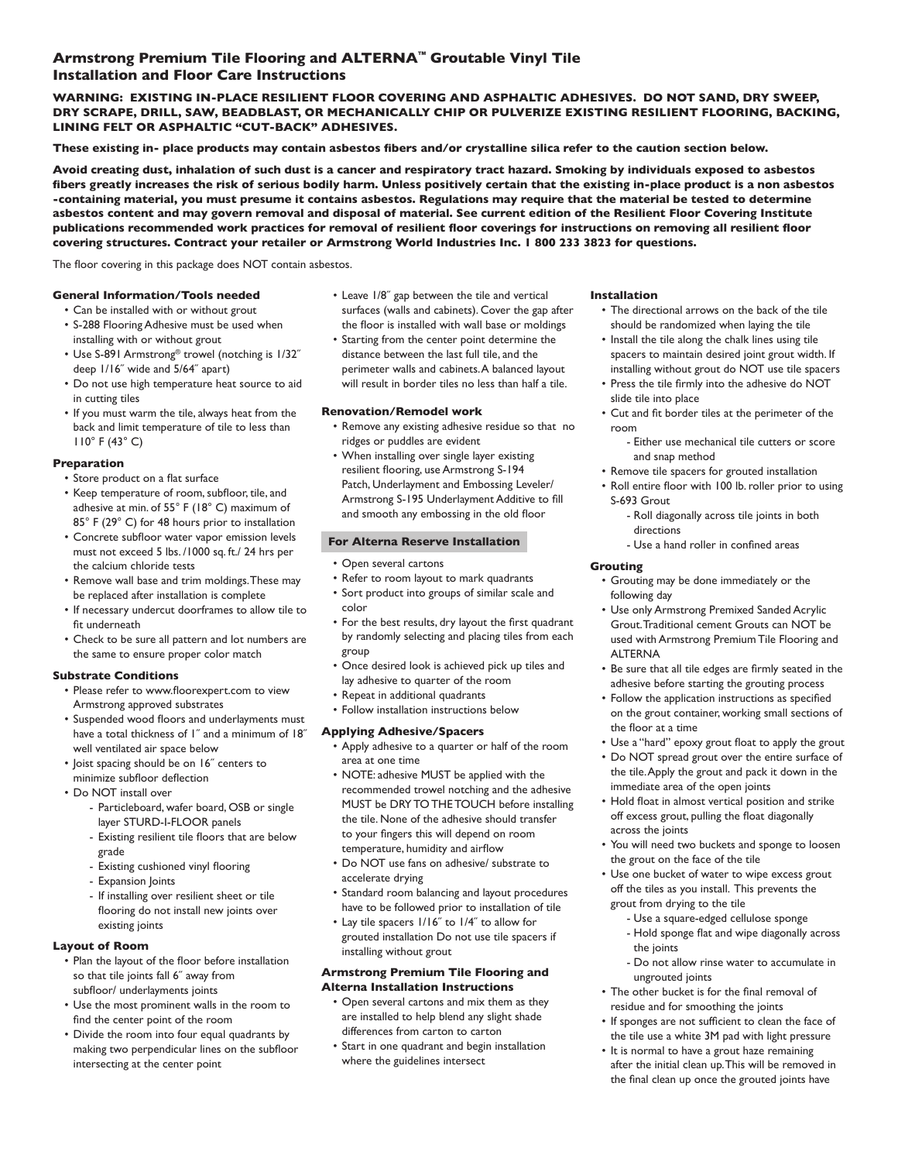# **Armstrong Premium Tile Flooring and ALTERNA™ Groutable Vinyl Tile Installation and Floor Care Instructions**

**WARNING: EXISTING IN-PLACE RESILIENT FLOOR COVERING AND ASPHALTIC ADHESIVES. DO NOT SAND, DRY SWEEP, DRY SCRAPE, DRILL, SAW, BEADBLAST, OR MECHANICALLY CHIP OR PULVERIZE EXISTING RESILIENT FLOORING, BACKING, LINING FELT OR ASPHALTIC "CUT-BACK" ADHESIVES.**

**These existing in- place products may contain asbestos fibers and/or crystalline silica refer to the caution section below.**

**Avoid creating dust, inhalation of such dust is a cancer and respiratory tract hazard. Smoking by individuals exposed to asbestos fibers greatly increases the risk of serious bodily harm. Unless positively certain that the existing in-place product is a non asbestos -containing material, you must presume it contains asbestos. Regulations may require that the material be tested to determine asbestos content and may govern removal and disposal of material. See current edition of the Resilient Floor Covering Institute publications recommended work practices for removal of resilient floor coverings for instructions on removing all resilient floor covering structures. Contract your retailer or Armstrong World Industries Inc. 1 800 233 3823 for questions.**

The floor covering in this package does NOT contain asbestos.

### **General Information/Tools needed**

- Can be installed with or without grout • S-288 Flooring Adhesive must be used when
- installing with or without grout • Use S-891 Armstrong® trowel (notching is 1/32˝ deep 1/16˝ wide and 5/64˝ apart)
- Do not use high temperature heat source to aid in cutting tiles
- If you must warm the tile, always heat from the back and limit temperature of tile to less than 110° F (43° C)

## **Preparation**

- Store product on a flat surface
- Keep temperature of room, subfloor, tile, and adhesive at min. of 55° F (18° C) maximum of 85° F (29° C) for 48 hours prior to installation
- Concrete subfloor water vapor emission levels must not exceed 5 lbs. /1000 sq. ft./ 24 hrs per the calcium chloride tests
- Remove wall base and trim moldings. These may be replaced after installation is complete
- If necessary undercut doorframes to allow tile to fit underneath
- Check to be sure all pattern and lot numbers are the same to ensure proper color match

## **Substrate Conditions**

- Please refer to www.floorexpert.com to view Armstrong approved substrates
- Suspended wood floors and underlayments must have a total thickness of I" and a minimum of 18" well ventilated air space below
- Joist spacing should be on 16˝ centers to minimize subfloor deflection
- Do NOT install over
	- Particleboard, wafer board, OSB or single layer STURD-I-FLOOR panels
	- Existing resilient tile floors that are below grade
	- Existing cushioned vinyl flooring
	- Expansion Joints
	- If installing over resilient sheet or tile flooring do not install new joints over existing joints

# **Layout of Room**

- Plan the layout of the floor before installation so that tile joints fall 6˝ away from subfloor/ underlayments joints
- Use the most prominent walls in the room to find the center point of the room
- Divide the room into four equal quadrants by making two perpendicular lines on the subfloor intersecting at the center point
- Leave 1/8˝ gap between the tile and vertical surfaces (walls and cabinets). Cover the gap after the floor is installed with wall base or moldings
- Starting from the center point determine the distance between the last full tile, and the perimeter walls and cabinets. A balanced layout will result in border tiles no less than half a tile.

## **Renovation/Remodel work**

- Remove any existing adhesive residue so that no ridges or puddles are evident
- When installing over single layer existing resilient flooring, use Armstrong S-194 Patch, Underlayment and Embossing Leveler/ Armstrong S-195 Underlayment Additive to fill and smooth any embossing in the old floor

## **For Alterna Reserve Installation**

- Open several cartons
- Refer to room layout to mark quadrants
- Sort product into groups of similar scale and color
- For the best results, dry layout the first quadrant by randomly selecting and placing tiles from each group
- Once desired look is achieved pick up tiles and lay adhesive to quarter of the room
- Repeat in additional quadrants
- Follow installation instructions below

## **Applying Adhesive/Spacers**

- Apply adhesive to a quarter or half of the room area at one time
- NOTE: adhesive MUST be applied with the recommended trowel notching and the adhesive MUST be DRY TO THE TOUCH before installing the tile. None of the adhesive should transfer to your fingers this will depend on room temperature, humidity and airflow
- Do NOT use fans on adhesive/ substrate to accelerate drying
- Standard room balancing and layout procedures have to be followed prior to installation of tile
- Lay tile spacers 1/16˝ to 1/4˝ to allow for grouted installation Do not use tile spacers if installing without grout

## **Armstrong Premium Tile Flooring and Alterna Installation Instructions**

- Open several cartons and mix them as they are installed to help blend any slight shade differences from carton to carton
- Start in one quadrant and begin installation where the guidelines intersect

### **Installation**

- The directional arrows on the back of the tile should be randomized when laying the tile
- Install the tile along the chalk lines using tile spacers to maintain desired joint grout width. If installing without grout do NOT use tile spacers
- Press the tile firmly into the adhesive do NOT slide tile into place
- Cut and fit border tiles at the perimeter of the room
	- Either use mechanical tile cutters or score and snap method
- Remove tile spacers for grouted installation
- Roll entire floor with 100 lb. roller prior to using S-693 Grout
	- Roll diagonally across tile joints in both directions
	- Use a hand roller in confined areas

## **Grouting**

- Grouting may be done immediately or the following day
- Use only Armstrong Premixed Sanded Acrylic Grout. Traditional cement Grouts can NOT be used with Armstrong Premium Tile Flooring and ALTERNA
- Be sure that all tile edges are firmly seated in the adhesive before starting the grouting process
- Follow the application instructions as specified on the grout container, working small sections of the floor at a time
- Use a "hard" epoxy grout float to apply the grout
- Do NOT spread grout over the entire surface of the tile. Apply the grout and pack it down in the immediate area of the open joints
- Hold float in almost vertical position and strike off excess grout, pulling the float diagonally across the joints
- You will need two buckets and sponge to loosen the grout on the face of the tile
- Use one bucket of water to wipe excess grout off the tiles as you install. This prevents the grout from drying to the tile
	- Use a square-edged cellulose sponge
	- Hold sponge flat and wipe diagonally across the joints
	- Do not allow rinse water to accumulate in ungrouted joints
- The other bucket is for the final removal of residue and for smoothing the joints
- If sponges are not sufficient to clean the face of the tile use a white 3M pad with light pressure
- It is normal to have a grout haze remaining after the initial clean up. This will be removed in the final clean up once the grouted joints have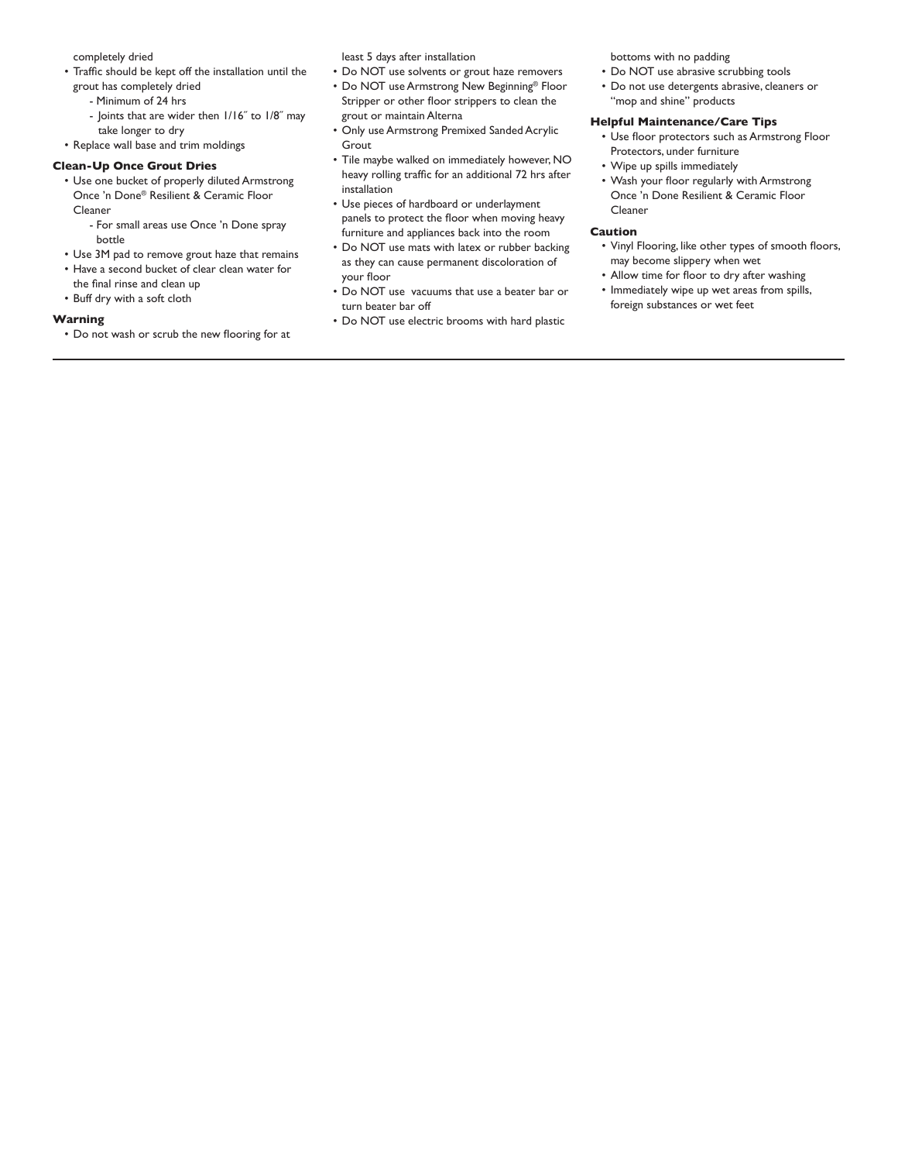completely dried

- Traffic should be kept off the installation until the grout has completely dried
	- Minimum of 24 hrs
	- Joints that are wider then 1/16˝ to 1/8˝ may take longer to dry
- Replace wall base and trim moldings

### **Clean-Up Once Grout Dries**

- Use one bucket of properly diluted Armstrong Once 'n Done® Resilient & Ceramic Floor Cleaner
	- For small areas use Once 'n Done spray bottle
- Use 3M pad to remove grout haze that remains
- Have a second bucket of clear clean water for the final rinse and clean up
- Buff dry with a soft cloth

### **Warning**

• Do not wash or scrub the new flooring for at

least 5 days after installation

- Do NOT use solvents or grout haze removers
- Do NOT use Armstrong New Beginning® Floor Stripper or other floor strippers to clean the grout or maintain Alterna
- Only use Armstrong Premixed Sanded Acrylic Grout
- Tile maybe walked on immediately however, NO heavy rolling traffic for an additional 72 hrs after installation
- Use pieces of hardboard or underlayment panels to protect the floor when moving heavy furniture and appliances back into the room
- Do NOT use mats with latex or rubber backing as they can cause permanent discoloration of your floor
- Do NOT use vacuums that use a beater bar or turn beater bar off
- Do NOT use electric brooms with hard plastic

bottoms with no padding

- Do NOT use abrasive scrubbing tools • Do not use detergents abrasive, cleaners or
- "mop and shine" products **Helpful Maintenance/Care Tips**
	- Use floor protectors such as Armstrong Floor Protectors, under furniture
	- Wipe up spills immediately
	- Wash your floor regularly with Armstrong Once 'n Done Resilient & Ceramic Floor Cleaner

### **Caution**

- Vinyl Flooring, like other types of smooth floors, may become slippery when wet
- Allow time for floor to dry after washing
- Immediately wipe up wet areas from spills, foreign substances or wet feet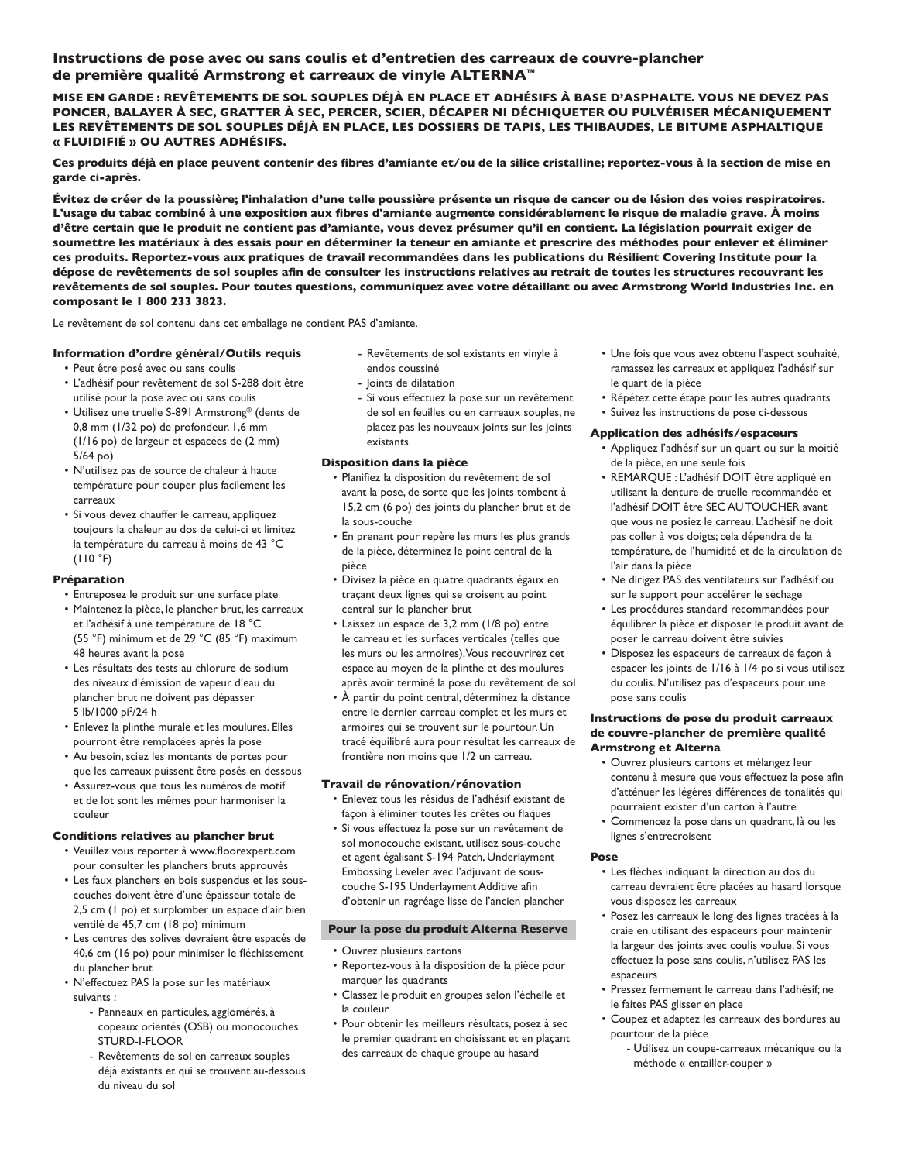# **Instructions de pose avec ou sans coulis et d'entretien des carreaux de couvre-plancher de première qualité Armstrong et carreaux de vinyle ALTERNA™**

**MISE EN GARDE : REVÊTEMENTS DE SOL SOUPLES DÉJÀ EN PLACE ET ADHÉSIFS À BASE D'ASPHALTE. VOUS NE DEVEZ PAS PONCER, BALAYER À SEC, GRATTER À SEC, PERCER, SCIER, DÉCAPER NI DÉCHIQUETER OU PULVÉRISER MÉCANIQUEMENT LES REVÊTEMENTS DE SOL SOUPLES DÉJÀ EN PLACE, LES DOSSIERS DE TAPIS, LES THIBAUDES, LE BITUME ASPHALTIQUE « FLUIDIFIÉ » OU AUTRES ADHÉSIFS.**

**Ces produits déjà en place peuvent contenir des fibres d'amiante et/ou de la silice cristalline; reportez-vous à la section de mise en garde ci-après.**

**Évitez de créer de la poussière; l'inhalation d'une telle poussière présente un risque de cancer ou de lésion des voies respiratoires. L'usage du tabac combiné à une exposition aux fibres d'amiante augmente considérablement le risque de maladie grave. À moins d'être certain que le produit ne contient pas d'amiante, vous devez présumer qu'il en contient. La législation pourrait exiger de soumettre les matériaux à des essais pour en déterminer la teneur en amiante et prescrire des méthodes pour enlever et éliminer ces produits. Reportez-vous aux pratiques de travail recommandées dans les publications du Résilient Covering Institute pour la dépose de revêtements de sol souples afin de consulter les instructions relatives au retrait de toutes les structures recouvrant les revêtements de sol souples. Pour toutes questions, communiquez avec votre détaillant ou avec Armstrong World Industries Inc. en composant le 1 800 233 3823.**

Le revêtement de sol contenu dans cet emballage ne contient PAS d'amiante.

### **Information d'ordre général/Outils requis**

- Peut être posé avec ou sans coulis
- L'adhésif pour revêtement de sol S-288 doit être utilisé pour la pose avec ou sans coulis
- Utilisez une truelle S-891 Armstrong® (dents de 0,8 mm (1/32 po) de profondeur, 1,6 mm (1/16 po) de largeur et espacées de (2 mm) 5/64 po)
- N'utilisez pas de source de chaleur à haute température pour couper plus facilement les carreaux
- Si vous devez chauffer le carreau, appliquez toujours la chaleur au dos de celui-ci et limitez la température du carreau à moins de 43 °C  $(110 °F)$

## **Préparation**

- Entreposez le produit sur une surface plate
- Maintenez la pièce, le plancher brut, les carreaux et l'adhésif à une température de 18 °C (55 °F) minimum et de 29 °C (85 °F) maximum 48 heures avant la pose
- Les résultats des tests au chlorure de sodium des niveaux d'émission de vapeur d'eau du plancher brut ne doivent pas dépasser 5 lb/1000 pi<sup>2</sup>/24 h
- Enlevez la plinthe murale et les moulures. Elles pourront être remplacées après la pose
- Au besoin, sciez les montants de portes pour que les carreaux puissent être posés en dessous
- Assurez-vous que tous les numéros de motif et de lot sont les mêmes pour harmoniser la couleur

#### **Conditions relatives au plancher brut**

- Veuillez vous reporter à www.floorexpert.com pour consulter les planchers bruts approuvés
- Les faux planchers en bois suspendus et les souscouches doivent être d'une épaisseur totale de 2,5 cm (1 po) et surplomber un espace d'air bien ventilé de 45,7 cm (18 po) minimum
- Les centres des solives devraient être espacés de 40,6 cm (16 po) pour minimiser le fléchissement du plancher brut
- N'effectuez PAS la pose sur les matériaux suivants :
	- Panneaux en particules, agglomérés, à copeaux orientés (OSB) ou monocouches STURD-I-FLOOR
	- Revêtements de sol en carreaux souples déjà existants et qui se trouvent au-dessous du niveau du sol
- Revêtements de sol existants en vinyle à endos coussiné
- Joints de dilatation
- Si vous effectuez la pose sur un revêtement de sol en feuilles ou en carreaux souples, ne placez pas les nouveaux joints sur les joints existants

### **Disposition dans la pièce**

- Planifiez la disposition du revêtement de sol avant la pose, de sorte que les joints tombent à 15,2 cm (6 po) des joints du plancher brut et de la sous-couche
- En prenant pour repère les murs les plus grands de la pièce, déterminez le point central de la pièce
- Divisez la pièce en quatre quadrants égaux en traçant deux lignes qui se croisent au point central sur le plancher brut
- Laissez un espace de 3,2 mm (1/8 po) entre le carreau et les surfaces verticales (telles que les murs ou les armoires). Vous recouvrirez cet espace au moyen de la plinthe et des moulures après avoir terminé la pose du revêtement de sol
- À partir du point central, déterminez la distance entre le dernier carreau complet et les murs et armoires qui se trouvent sur le pourtour. Un tracé équilibré aura pour résultat les carreaux de frontière non moins que 1/2 un carreau.

## **Travail de rénovation/rénovation**

- Enlevez tous les résidus de l'adhésif existant de façon à éliminer toutes les crêtes ou flaques
- Si vous effectuez la pose sur un revêtement de sol monocouche existant, utilisez sous-couche et agent égalisant S-194 Patch, Underlayment Embossing Leveler avec l'adjuvant de souscouche S-195 Underlayment Additive afin d'obtenir un ragréage lisse de l'ancien plancher

### **Pour la pose du produit Alterna Reserve**

- Ouvrez plusieurs cartons
- Reportez-vous à la disposition de la pièce pour marquer les quadrants
- Classez le produit en groupes selon l'échelle et la couleur
- Pour obtenir les meilleurs résultats, posez à sec le premier quadrant en choisissant et en plaçant des carreaux de chaque groupe au hasard
- Une fois que vous avez obtenu l'aspect souhaité, ramassez les carreaux et appliquez l'adhésif sur le quart de la pièce
- Répétez cette étape pour les autres quadrants • Suivez les instructions de pose ci-dessous

### **Application des adhésifs/espaceurs**

- Appliquez l'adhésif sur un quart ou sur la moitié de la pièce, en une seule fois
- REMARQUE : L'adhésif DOIT être appliqué en utilisant la denture de truelle recommandée et l'adhésif DOIT être SEC AU TOUCHER avant que vous ne posiez le carreau. L'adhésif ne doit pas coller à vos doigts; cela dépendra de la température, de l'humidité et de la circulation de l'air dans la pièce
- Ne dirigez PAS des ventilateurs sur l'adhésif ou sur le support pour accélérer le séchage
- Les procédures standard recommandées pour équilibrer la pièce et disposer le produit avant de poser le carreau doivent être suivies
- Disposez les espaceurs de carreaux de façon à espacer les joints de 1/16 à 1/4 po si vous utilisez du coulis. N'utilisez pas d'espaceurs pour une pose sans coulis

### **Instructions de pose du produit carreaux de couvre-plancher de première qualité Armstrong et Alterna**

- Ouvrez plusieurs cartons et mélangez leur contenu à mesure que vous effectuez la pose afin d'atténuer les légères différences de tonalités qui pourraient exister d'un carton à l'autre
- Commencez la pose dans un quadrant, là ou les lignes s'entrecroisent

#### **Pose**

- Les flèches indiquant la direction au dos du carreau devraient être placées au hasard lorsque vous disposez les carreaux
- Posez les carreaux le long des lignes tracées à la craie en utilisant des espaceurs pour maintenir la largeur des joints avec coulis voulue. Si vous effectuez la pose sans coulis, n'utilisez PAS les espaceurs
- Pressez fermement le carreau dans l'adhésif; ne le faites PAS glisser en place
- Coupez et adaptez les carreaux des bordures au pourtour de la pièce
	- Utilisez un coupe-carreaux mécanique ou la méthode « entailler-couper »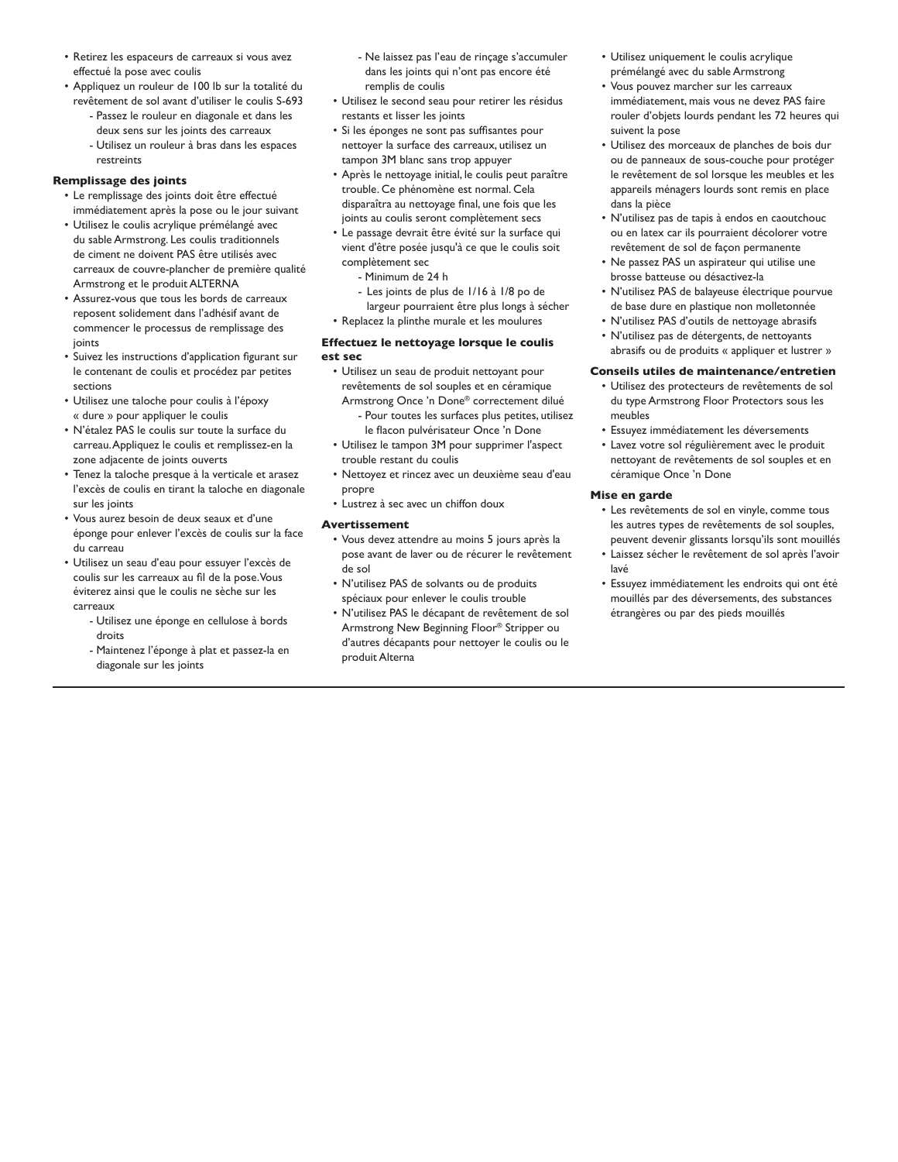- Retirez les espaceurs de carreaux si vous avez effectué la pose avec coulis
- Appliquez un rouleur de 100 lb sur la totalité du revêtement de sol avant d'utiliser le coulis S-693
	- Passez le rouleur en diagonale et dans les deux sens sur les joints des carreaux - Utilisez un rouleur à bras dans les espaces

# restreints **Remplissage des joints**

- Le remplissage des joints doit être effectué immédiatement après la pose ou le jour suivant
- Utilisez le coulis acrylique prémélangé avec du sable Armstrong. Les coulis traditionnels de ciment ne doivent PAS être utilisés avec carreaux de couvre-plancher de première qualité Armstrong et le produit ALTERNA
- Assurez-vous que tous les bords de carreaux reposent solidement dans l'adhésif avant de commencer le processus de remplissage des joints
- Suivez les instructions d'application figurant sur le contenant de coulis et procédez par petites sections
- Utilisez une taloche pour coulis à l'époxy « dure » pour appliquer le coulis
- N'étalez PAS le coulis sur toute la surface du carreau. Appliquez le coulis et remplissez-en la zone adjacente de joints ouverts
- Tenez la taloche presque à la verticale et arasez l'excès de coulis en tirant la taloche en diagonale sur les joints
- Vous aurez besoin de deux seaux et d'une éponge pour enlever l'excès de coulis sur la face du carreau
- Utilisez un seau d'eau pour essuyer l'excès de coulis sur les carreaux au fil de la pose. Vous éviterez ainsi que le coulis ne sèche sur les carreaux
	- Utilisez une éponge en cellulose à bords droits
	- Maintenez l'éponge à plat et passez-la en diagonale sur les joints
- Ne laissez pas l'eau de rinçage s'accumuler dans les joints qui n'ont pas encore été remplis de coulis
- Utilisez le second seau pour retirer les résidus restants et lisser les joints
- Si les éponges ne sont pas suffisantes pour nettoyer la surface des carreaux, utilisez un tampon 3M blanc sans trop appuyer
- Après le nettoyage initial, le coulis peut paraître trouble. Ce phénomène est normal. Cela disparaîtra au nettoyage final, une fois que les joints au coulis seront complètement secs
- Le passage devrait être évité sur la surface qui vient d'être posée jusqu'à ce que le coulis soit complètement sec
	- Minimum de 24 h
	- Les joints de plus de 1/16 à 1/8 po de largeur pourraient être plus longs à sécher
- Replacez la plinthe murale et les moulures

#### **Effectuez le nettoyage lorsque le coulis est sec**

- Utilisez un seau de produit nettoyant pour revêtements de sol souples et en céramique Armstrong Once 'n Done® correctement dilué
	- Pour toutes les surfaces plus petites, utilisez le flacon pulvérisateur Once 'n Done
- Utilisez le tampon 3M pour supprimer l'aspect trouble restant du coulis
- Nettoyez et rincez avec un deuxième seau d'eau propre
- Lustrez à sec avec un chiffon doux

### **Avertissement**

- Vous devez attendre au moins 5 jours après la pose avant de laver ou de récurer le revêtement de sol
- N'utilisez PAS de solvants ou de produits spéciaux pour enlever le coulis trouble
- N'utilisez PAS le décapant de revêtement de sol Armstrong New Beginning Floor® Stripper ou d'autres décapants pour nettoyer le coulis ou le produit Alterna
- Utilisez uniquement le coulis acrylique prémélangé avec du sable Armstrong
- Vous pouvez marcher sur les carreaux immédiatement, mais vous ne devez PAS faire rouler d'objets lourds pendant les 72 heures qui suivent la pose
- Utilisez des morceaux de planches de bois dur ou de panneaux de sous-couche pour protéger le revêtement de sol lorsque les meubles et les appareils ménagers lourds sont remis en place dans la pièce
- N'utilisez pas de tapis à endos en caoutchouc ou en latex car ils pourraient décolorer votre revêtement de sol de façon permanente
- Ne passez PAS un aspirateur qui utilise une brosse batteuse ou désactivez-la
- N'utilisez PAS de balayeuse électrique pourvue de base dure en plastique non molletonnée
- N'utilisez PAS d'outils de nettoyage abrasifs
- N'utilisez pas de détergents, de nettoyants abrasifs ou de produits « appliquer et lustrer »

### **Conseils utiles de maintenance/entretien**

- Utilisez des protecteurs de revêtements de sol du type Armstrong Floor Protectors sous les meubles
- Essuyez immédiatement les déversements
- Lavez votre sol régulièrement avec le produit nettoyant de revêtements de sol souples et en céramique Once 'n Done

### **Mise en garde**

- Les revêtements de sol en vinyle, comme tous les autres types de revêtements de sol souples, peuvent devenir glissants lorsqu'ils sont mouillés
- Laissez sécher le revêtement de sol après l'avoir lavé
- Essuyez immédiatement les endroits qui ont été mouillés par des déversements, des substances étrangères ou par des pieds mouillés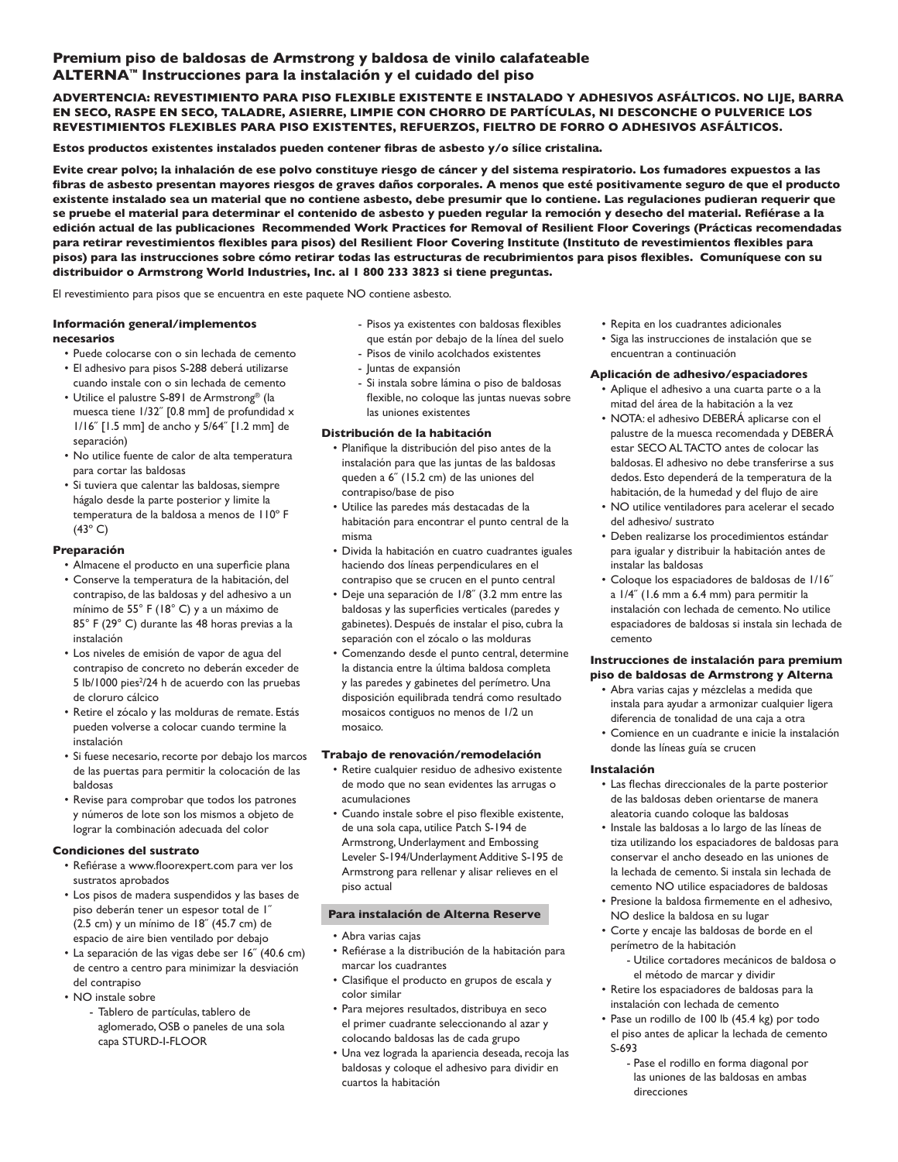# **Premium piso de baldosas de Armstrong y baldosa de vinilo calafateable ALTERNA™ Instrucciones para la instalación y el cuidado del piso**

# **ADVERTENCIA: REVESTIMIENTO PARA PISO FLEXIBLE EXISTENTE E INSTALADO Y ADHESIVOS ASFÁLTICOS. NO LIJE, BARRA EN SECO, RASPE EN SECO, TALADRE, ASIERRE, LIMPIE CON CHORRO DE PARTÍCULAS, NI DESCONCHE O PULVERICE LOS REVESTIMIENTOS FLEXIBLES PARA PISO EXISTENTES, REFUERZOS, FIELTRO DE FORRO O ADHESIVOS ASFÁLTICOS.**

**Estos productos existentes instalados pueden contener fibras de asbesto y/o sílice cristalina.**

**Evite crear polvo; la inhalación de ese polvo constituye riesgo de cáncer y del sistema respiratorio. Los fumadores expuestos a las fibras de asbesto presentan mayores riesgos de graves daños corporales. A menos que esté positivamente seguro de que el producto existente instalado sea un material que no contiene asbesto, debe presumir que lo contiene. Las regulaciones pudieran requerir que se pruebe el material para determinar el contenido de asbesto y pueden regular la remoción y desecho del material. Refiérase a la edición actual de las publicaciones Recommended Work Practices for Removal of Resilient Floor Coverings (Prácticas recomendadas para retirar revestimientos flexibles para pisos) del Resilient Floor Covering Institute (Instituto de revestimientos flexibles para pisos) para las instrucciones sobre cómo retirar todas las estructuras de recubrimientos para pisos flexibles. Comuníquese con su distribuidor o Armstrong World Industries, Inc. al 1 800 233 3823 si tiene preguntas.**

El revestimiento para pisos que se encuentra en este paquete NO contiene asbesto.

#### **Información general/implementos necesarios**

- 
- Puede colocarse con o sin lechada de cemento • El adhesivo para pisos S-288 deberá utilizarse
- cuando instale con o sin lechada de cemento • Utilice el palustre S-891 de Armstrong® (la
- muesca tiene 1/32˝ [0.8 mm] de profundidad x 1/16˝ [1.5 mm] de ancho y 5/64˝ [1.2 mm] de separación)
- No utilice fuente de calor de alta temperatura para cortar las baldosas
- Si tuviera que calentar las baldosas, siempre hágalo desde la parte posterior y limite la temperatura de la baldosa a menos de 110º F  $(43^\circ C)$

# **Preparación**

- Almacene el producto en una superficie plana
- Conserve la temperatura de la habitación, del contrapiso, de las baldosas y del adhesivo a un mínimo de 55° F (18° C) y a un máximo de 85° F (29° C) durante las 48 horas previas a la instalación
- Los niveles de emisión de vapor de agua del contrapiso de concreto no deberán exceder de 5 lb/1000 pies<sup>2</sup>/24 h de acuerdo con las pruebas de cloruro cálcico
- Retire el zócalo y las molduras de remate. Estás pueden volverse a colocar cuando termine la instalación
- Si fuese necesario, recorte por debajo los marcos de las puertas para permitir la colocación de las baldosas
- Revise para comprobar que todos los patrones y números de lote son los mismos a objeto de lograr la combinación adecuada del color

## **Condiciones del sustrato**

- Refiérase a www.floorexpert.com para ver los sustratos aprobados
- Los pisos de madera suspendidos y las bases de piso deberán tener un espesor total de 1˝ (2.5 cm) y un mínimo de 18˝ (45.7 cm) de espacio de aire bien ventilado por debajo
- La separación de las vigas debe ser 16˝ (40.6 cm) de centro a centro para minimizar la desviación del contrapiso
- NO instale sobre
	- Tablero de partículas, tablero de aglomerado, OSB o paneles de una sola capa STURD-I-FLOOR
- Pisos ya existentes con baldosas flexibles que están por debajo de la línea del suelo
- Pisos de vinilo acolchados existentes
- Juntas de expansión
- Si instala sobre lámina o piso de baldosas flexible, no coloque las juntas nuevas sobre las uniones existentes

## **Distribución de la habitación**

- Planifique la distribución del piso antes de la instalación para que las juntas de las baldosas queden a 6˝ (15.2 cm) de las uniones del contrapiso/base de piso
- Utilice las paredes más destacadas de la habitación para encontrar el punto central de la misma
- Divida la habitación en cuatro cuadrantes iguales haciendo dos líneas perpendiculares en el contrapiso que se crucen en el punto central
- Deje una separación de 1/8˝ (3.2 mm entre las baldosas y las superficies verticales (paredes y gabinetes). Después de instalar el piso, cubra la separación con el zócalo o las molduras
- Comenzando desde el punto central, determine la distancia entre la última baldosa completa y las paredes y gabinetes del perímetro. Una disposición equilibrada tendrá como resultado mosaicos contiguos no menos de 1/2 un mosaico.

## **Trabajo de renovación/remodelación**

- Retire cualquier residuo de adhesivo existente de modo que no sean evidentes las arrugas o acumulaciones
- Cuando instale sobre el piso flexible existente, de una sola capa, utilice Patch S-194 de Armstrong, Underlayment and Embossing Leveler S-194/Underlayment Additive S-195 de Armstrong para rellenar y alisar relieves en el piso actual

## **Para instalación de Alterna Reserve**

- Abra varias cajas
- Refiérase a la distribución de la habitación para marcar los cuadrantes
- Clasifique el producto en grupos de escala y color similar
- Para mejores resultados, distribuya en seco el primer cuadrante seleccionando al azar y colocando baldosas las de cada grupo
- Una vez lograda la apariencia deseada, recoja las baldosas y coloque el adhesivo para dividir en cuartos la habitación
- Repita en los cuadrantes adicionales
- Siga las instrucciones de instalación que se encuentran a continuación

# **Aplicación de adhesivo/espaciadores**

- Aplique el adhesivo a una cuarta parte o a la mitad del área de la habitación a la vez
- NOTA: el adhesivo DEBERÁ aplicarse con el palustre de la muesca recomendada y DEBERÁ estar SECO AL TACTO antes de colocar las baldosas. El adhesivo no debe transferirse a sus dedos. Esto dependerá de la temperatura de la habitación, de la humedad y del flujo de aire
- NO utilice ventiladores para acelerar el secado del adhesivo/ sustrato
- Deben realizarse los procedimientos estándar para igualar y distribuir la habitación antes de instalar las baldosas
- Coloque los espaciadores de baldosas de 1/16˝ a 1/4˝ (1.6 mm a 6.4 mm) para permitir la instalación con lechada de cemento. No utilice espaciadores de baldosas si instala sin lechada de cemento

### **Instrucciones de instalación para premium piso de baldosas de Armstrong y Alterna**

- Abra varias cajas y mézclelas a medida que instala para ayudar a armonizar cualquier ligera diferencia de tonalidad de una caja a otra
- Comience en un cuadrante e inicie la instalación donde las líneas guía se crucen

## **Instalación**

- Las flechas direccionales de la parte posterior de las baldosas deben orientarse de manera aleatoria cuando coloque las baldosas
- Instale las baldosas a lo largo de las líneas de tiza utilizando los espaciadores de baldosas para conservar el ancho deseado en las uniones de la lechada de cemento. Si instala sin lechada de cemento NO utilice espaciadores de baldosas
- Presione la baldosa firmemente en el adhesivo, NO deslice la baldosa en su lugar
- Corte y encaje las baldosas de borde en el perímetro de la habitación
	- Utilice cortadores mecánicos de baldosa o el método de marcar y dividir
- Retire los espaciadores de baldosas para la instalación con lechada de cemento
- Pase un rodillo de 100 lb (45.4 kg) por todo el piso antes de aplicar la lechada de cemento S-693
	- Pase el rodillo en forma diagonal por las uniones de las baldosas en ambas direcciones